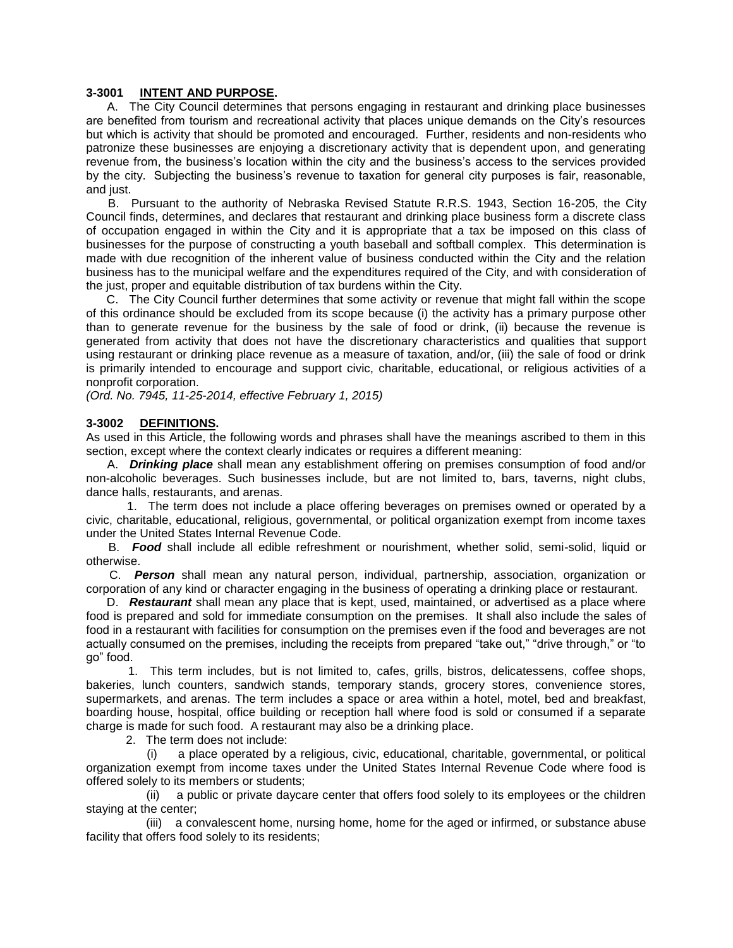#### **3-3001 INTENT AND PURPOSE.**

 A. The City Council determines that persons engaging in restaurant and drinking place businesses are benefited from tourism and recreational activity that places unique demands on the City's resources but which is activity that should be promoted and encouraged. Further, residents and non-residents who patronize these businesses are enjoying a discretionary activity that is dependent upon, and generating revenue from, the business's location within the city and the business's access to the services provided by the city. Subjecting the business's revenue to taxation for general city purposes is fair, reasonable, and just.

 B. Pursuant to the authority of Nebraska Revised Statute R.R.S. 1943, Section 16-205, the City Council finds, determines, and declares that restaurant and drinking place business form a discrete class of occupation engaged in within the City and it is appropriate that a tax be imposed on this class of businesses for the purpose of constructing a youth baseball and softball complex. This determination is made with due recognition of the inherent value of business conducted within the City and the relation business has to the municipal welfare and the expenditures required of the City, and with consideration of the just, proper and equitable distribution of tax burdens within the City.

 C. The City Council further determines that some activity or revenue that might fall within the scope of this ordinance should be excluded from its scope because (i) the activity has a primary purpose other than to generate revenue for the business by the sale of food or drink, (ii) because the revenue is generated from activity that does not have the discretionary characteristics and qualities that support using restaurant or drinking place revenue as a measure of taxation, and/or, (iii) the sale of food or drink is primarily intended to encourage and support civic, charitable, educational, or religious activities of a nonprofit corporation.

*(Ord. No. 7945, 11-25-2014, effective February 1, 2015)*

## **3-3002 DEFINITIONS.**

As used in this Article, the following words and phrases shall have the meanings ascribed to them in this section, except where the context clearly indicates or requires a different meaning:

 A. *Drinking place* shall mean any establishment offering on premises consumption of food and/or non-alcoholic beverages. Such businesses include, but are not limited to, bars, taverns, night clubs, dance halls, restaurants, and arenas.

 1. The term does not include a place offering beverages on premises owned or operated by a civic, charitable, educational, religious, governmental, or political organization exempt from income taxes under the United States Internal Revenue Code.

 B. *Food* shall include all edible refreshment or nourishment, whether solid, semi-solid, liquid or otherwise.

 C. *Person* shall mean any natural person, individual, partnership, association, organization or corporation of any kind or character engaging in the business of operating a drinking place or restaurant.

 D. *Restaurant* shall mean any place that is kept, used, maintained, or advertised as a place where food is prepared and sold for immediate consumption on the premises. It shall also include the sales of food in a restaurant with facilities for consumption on the premises even if the food and beverages are not actually consumed on the premises, including the receipts from prepared "take out," "drive through," or "to go" food.

 1. This term includes, but is not limited to, cafes, grills, bistros, delicatessens, coffee shops, bakeries, lunch counters, sandwich stands, temporary stands, grocery stores, convenience stores, supermarkets, and arenas. The term includes a space or area within a hotel, motel, bed and breakfast, boarding house, hospital, office building or reception hall where food is sold or consumed if a separate charge is made for such food. A restaurant may also be a drinking place.

2. The term does not include:

 (i) a place operated by a religious, civic, educational, charitable, governmental, or political organization exempt from income taxes under the United States Internal Revenue Code where food is offered solely to its members or students;

 (ii) a public or private daycare center that offers food solely to its employees or the children staying at the center;

 (iii) a convalescent home, nursing home, home for the aged or infirmed, or substance abuse facility that offers food solely to its residents;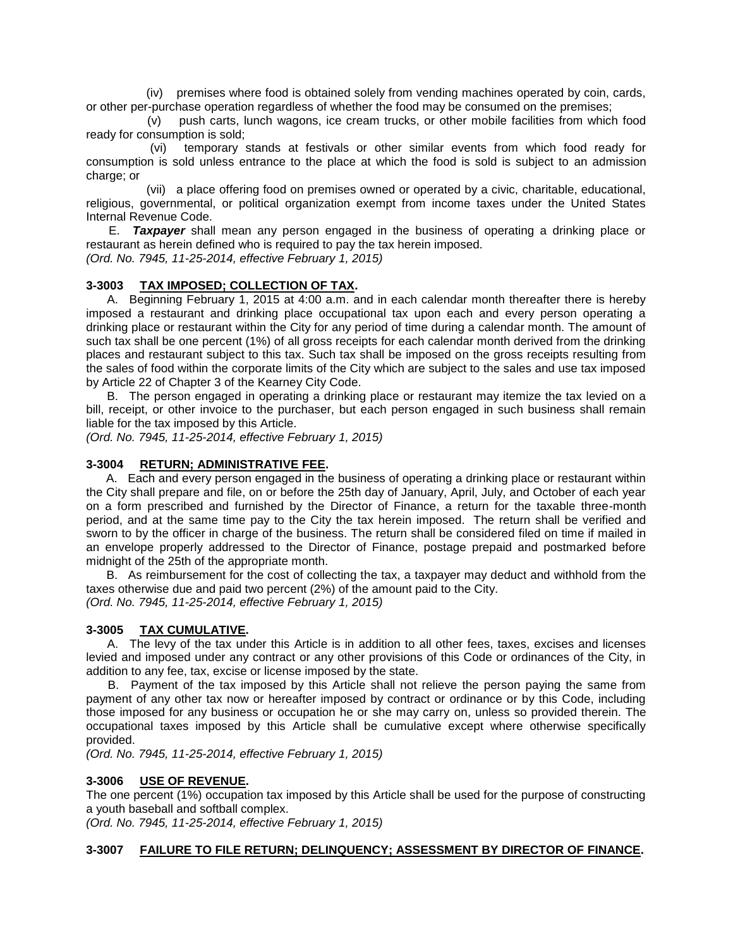(iv) premises where food is obtained solely from vending machines operated by coin, cards, or other per-purchase operation regardless of whether the food may be consumed on the premises;

 (v) push carts, lunch wagons, ice cream trucks, or other mobile facilities from which food ready for consumption is sold;

 (vi) temporary stands at festivals or other similar events from which food ready for consumption is sold unless entrance to the place at which the food is sold is subject to an admission charge; or

 (vii) a place offering food on premises owned or operated by a civic, charitable, educational, religious, governmental, or political organization exempt from income taxes under the United States Internal Revenue Code.

 E. *Taxpayer* shall mean any person engaged in the business of operating a drinking place or restaurant as herein defined who is required to pay the tax herein imposed.

*(Ord. No. 7945, 11-25-2014, effective February 1, 2015)*

# **3-3003 TAX IMPOSED; COLLECTION OF TAX.**

 A. Beginning February 1, 2015 at 4:00 a.m. and in each calendar month thereafter there is hereby imposed a restaurant and drinking place occupational tax upon each and every person operating a drinking place or restaurant within the City for any period of time during a calendar month. The amount of such tax shall be one percent (1%) of all gross receipts for each calendar month derived from the drinking places and restaurant subject to this tax. Such tax shall be imposed on the gross receipts resulting from the sales of food within the corporate limits of the City which are subject to the sales and use tax imposed by Article 22 of Chapter 3 of the Kearney City Code.

 B. The person engaged in operating a drinking place or restaurant may itemize the tax levied on a bill, receipt, or other invoice to the purchaser, but each person engaged in such business shall remain liable for the tax imposed by this Article.

*(Ord. No. 7945, 11-25-2014, effective February 1, 2015)*

# **3-3004 RETURN; ADMINISTRATIVE FEE.**

 A. Each and every person engaged in the business of operating a drinking place or restaurant within the City shall prepare and file, on or before the 25th day of January, April, July, and October of each year on a form prescribed and furnished by the Director of Finance, a return for the taxable three-month period, and at the same time pay to the City the tax herein imposed. The return shall be verified and sworn to by the officer in charge of the business. The return shall be considered filed on time if mailed in an envelope properly addressed to the Director of Finance, postage prepaid and postmarked before midnight of the 25th of the appropriate month.

 B. As reimbursement for the cost of collecting the tax, a taxpayer may deduct and withhold from the taxes otherwise due and paid two percent (2%) of the amount paid to the City. *(Ord. No. 7945, 11-25-2014, effective February 1, 2015)*

## **3-3005 TAX CUMULATIVE.**

 A. The levy of the tax under this Article is in addition to all other fees, taxes, excises and licenses levied and imposed under any contract or any other provisions of this Code or ordinances of the City, in addition to any fee, tax, excise or license imposed by the state.

 B. Payment of the tax imposed by this Article shall not relieve the person paying the same from payment of any other tax now or hereafter imposed by contract or ordinance or by this Code, including those imposed for any business or occupation he or she may carry on, unless so provided therein. The occupational taxes imposed by this Article shall be cumulative except where otherwise specifically provided.

*(Ord. No. 7945, 11-25-2014, effective February 1, 2015)*

## **3-3006 USE OF REVENUE.**

The one percent (1%) occupation tax imposed by this Article shall be used for the purpose of constructing a youth baseball and softball complex.

*(Ord. No. 7945, 11-25-2014, effective February 1, 2015)*

## **3-3007 FAILURE TO FILE RETURN; DELINQUENCY; ASSESSMENT BY DIRECTOR OF FINANCE.**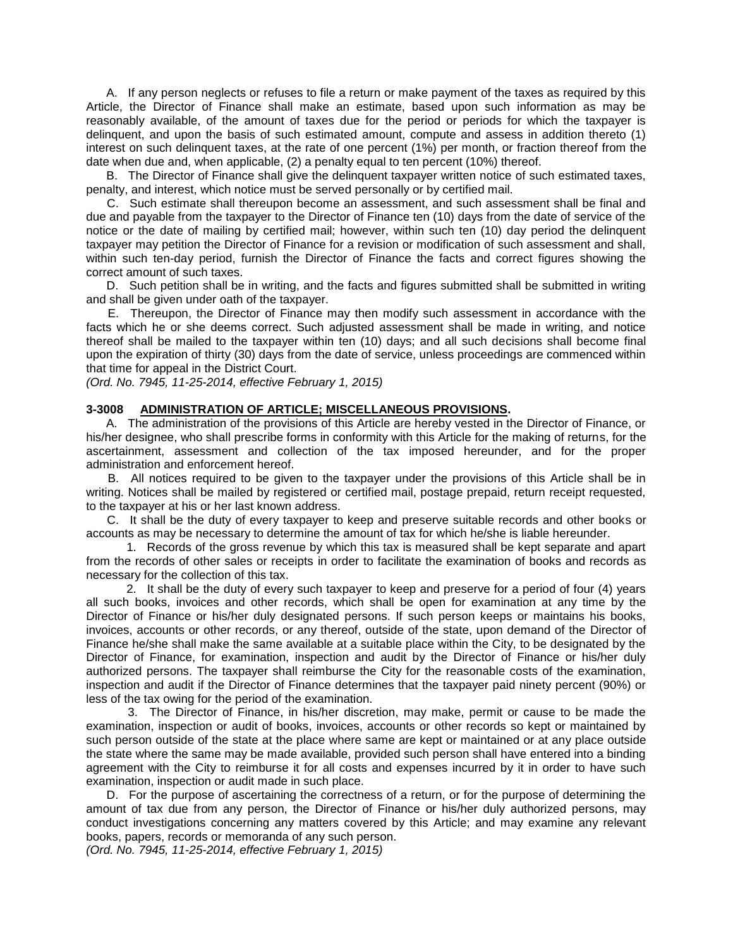A. If any person neglects or refuses to file a return or make payment of the taxes as required by this Article, the Director of Finance shall make an estimate, based upon such information as may be reasonably available, of the amount of taxes due for the period or periods for which the taxpayer is delinquent, and upon the basis of such estimated amount, compute and assess in addition thereto (1) interest on such delinquent taxes, at the rate of one percent (1%) per month, or fraction thereof from the date when due and, when applicable, (2) a penalty equal to ten percent (10%) thereof.

 B. The Director of Finance shall give the delinquent taxpayer written notice of such estimated taxes, penalty, and interest, which notice must be served personally or by certified mail.

 C. Such estimate shall thereupon become an assessment, and such assessment shall be final and due and payable from the taxpayer to the Director of Finance ten (10) days from the date of service of the notice or the date of mailing by certified mail; however, within such ten (10) day period the delinquent taxpayer may petition the Director of Finance for a revision or modification of such assessment and shall, within such ten-day period, furnish the Director of Finance the facts and correct figures showing the correct amount of such taxes.

 D. Such petition shall be in writing, and the facts and figures submitted shall be submitted in writing and shall be given under oath of the taxpayer.

 E. Thereupon, the Director of Finance may then modify such assessment in accordance with the facts which he or she deems correct. Such adjusted assessment shall be made in writing, and notice thereof shall be mailed to the taxpayer within ten (10) days; and all such decisions shall become final upon the expiration of thirty (30) days from the date of service, unless proceedings are commenced within that time for appeal in the District Court.

*(Ord. No. 7945, 11-25-2014, effective February 1, 2015)*

#### **3-3008 ADMINISTRATION OF ARTICLE; MISCELLANEOUS PROVISIONS.**

 A. The administration of the provisions of this Article are hereby vested in the Director of Finance, or his/her designee, who shall prescribe forms in conformity with this Article for the making of returns, for the ascertainment, assessment and collection of the tax imposed hereunder, and for the proper administration and enforcement hereof.

 B. All notices required to be given to the taxpayer under the provisions of this Article shall be in writing. Notices shall be mailed by registered or certified mail, postage prepaid, return receipt requested, to the taxpayer at his or her last known address.

 C. It shall be the duty of every taxpayer to keep and preserve suitable records and other books or accounts as may be necessary to determine the amount of tax for which he/she is liable hereunder.

 1. Records of the gross revenue by which this tax is measured shall be kept separate and apart from the records of other sales or receipts in order to facilitate the examination of books and records as necessary for the collection of this tax.

 2. It shall be the duty of every such taxpayer to keep and preserve for a period of four (4) years all such books, invoices and other records, which shall be open for examination at any time by the Director of Finance or his/her duly designated persons. If such person keeps or maintains his books, invoices, accounts or other records, or any thereof, outside of the state, upon demand of the Director of Finance he/she shall make the same available at a suitable place within the City, to be designated by the Director of Finance, for examination, inspection and audit by the Director of Finance or his/her duly authorized persons. The taxpayer shall reimburse the City for the reasonable costs of the examination, inspection and audit if the Director of Finance determines that the taxpayer paid ninety percent (90%) or less of the tax owing for the period of the examination.

 3. The Director of Finance, in his/her discretion, may make, permit or cause to be made the examination, inspection or audit of books, invoices, accounts or other records so kept or maintained by such person outside of the state at the place where same are kept or maintained or at any place outside the state where the same may be made available, provided such person shall have entered into a binding agreement with the City to reimburse it for all costs and expenses incurred by it in order to have such examination, inspection or audit made in such place.

 D. For the purpose of ascertaining the correctness of a return, or for the purpose of determining the amount of tax due from any person, the Director of Finance or his/her duly authorized persons, may conduct investigations concerning any matters covered by this Article; and may examine any relevant books, papers, records or memoranda of any such person.

*(Ord. No. 7945, 11-25-2014, effective February 1, 2015)*